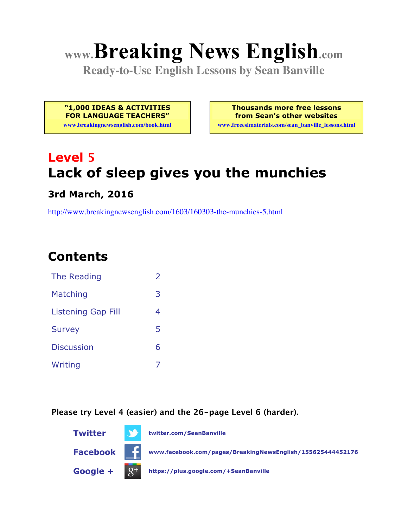# **www.Breaking News English.com**

**Ready-to-Use English Lessons by Sean Banville**

**"1,000 IDEAS & ACTIVITIES FOR LANGUAGE TEACHERS"**

**www.breakingnewsenglish.com/book.html**

**Thousands more free lessons from Sean's other websites www.freeeslmaterials.com/sean\_banville\_lessons.html**

# **Level 5 Lack of sleep gives you the munchies**

#### **3rd March, 2016**

http://www.breakingnewsenglish.com/1603/160303-the-munchies-5.html

# **Contents**

| The Reading               | フ |
|---------------------------|---|
| Matching                  | 3 |
| <b>Listening Gap Fill</b> | 4 |
| <b>Survey</b>             | 5 |
| <b>Discussion</b>         | 6 |
| Writing                   |   |

**Please try Level 4 (easier) and the 26-page Level 6 (harder).**

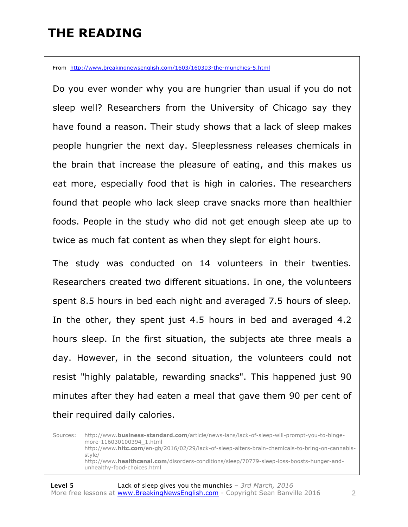## **THE READING**

From http://www.breakingnewsenglish.com/1603/160303-the-munchies-5.html

Do you ever wonder why you are hungrier than usual if you do not sleep well? Researchers from the University of Chicago say they have found a reason. Their study shows that a lack of sleep makes people hungrier the next day. Sleeplessness releases chemicals in the brain that increase the pleasure of eating, and this makes us eat more, especially food that is high in calories. The researchers found that people who lack sleep crave snacks more than healthier foods. People in the study who did not get enough sleep ate up to twice as much fat content as when they slept for eight hours.

The study was conducted on 14 volunteers in their twenties. Researchers created two different situations. In one, the volunteers spent 8.5 hours in bed each night and averaged 7.5 hours of sleep. In the other, they spent just 4.5 hours in bed and averaged 4.2 hours sleep. In the first situation, the subjects ate three meals a day. However, in the second situation, the volunteers could not resist "highly palatable, rewarding snacks". This happened just 90 minutes after they had eaten a meal that gave them 90 per cent of their required daily calories.

Sources: http://www.**business-standard.com**/article/news-ians/lack-of-sleep-will-prompt-you-to-bingemore-116030100394\_1.html http://www.**hitc.com**/en-gb/2016/02/29/lack-of-sleep-alters-brain-chemicals-to-bring-on-cannabisstyle/ http://www.**healthcanal.com**/disorders-conditions/sleep/70779-sleep-loss-boosts-hunger-andunhealthy-food-choices.html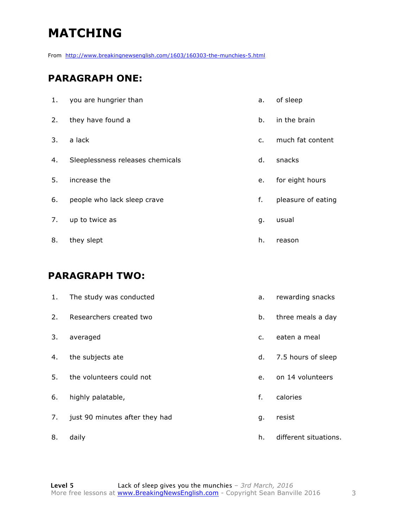# **MATCHING**

From http://www.breakingnewsenglish.com/1603/160303-the-munchies-5.html

#### **PARAGRAPH ONE:**

| 1. | you are hungrier than            | a.             | of sleep           |
|----|----------------------------------|----------------|--------------------|
| 2. | they have found a                | b.             | in the brain       |
| 3. | a lack                           | $\mathsf{C}$ . | much fat content   |
| 4. | Sleeplessness releases chemicals | d.             | snacks             |
| 5. | increase the                     | e.             | for eight hours    |
| 6. | people who lack sleep crave      | f.             | pleasure of eating |
| 7. | up to twice as                   | g.             | usual              |
| 8. | they slept                       | h.             | reason             |

#### **PARAGRAPH TWO:**

| 1. | The study was conducted        | a.             | rewarding snacks      |
|----|--------------------------------|----------------|-----------------------|
| 2. | Researchers created two        | b.             | three meals a day     |
| 3. | averaged                       | $\mathsf{C}$ . | eaten a meal          |
| 4. | the subjects ate               | d.             | 7.5 hours of sleep    |
| 5. | the volunteers could not       | e.             | on 14 volunteers      |
| 6. | highly palatable,              | f.             | calories              |
| 7. | just 90 minutes after they had | g.             | resist                |
| 8. | daily                          | h.             | different situations. |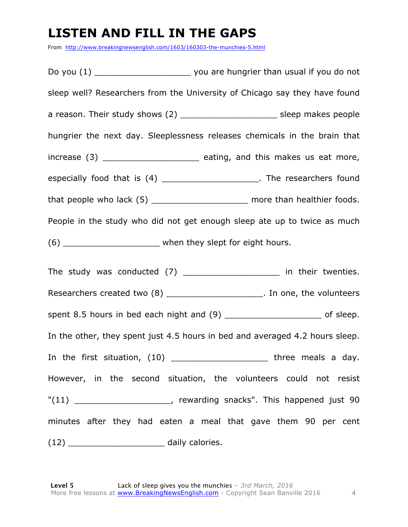## **LISTEN AND FILL IN THE GAPS**

From http://www.breakingnewsenglish.com/1603/160303-the-munchies-5.html

Do you (1) Do you are hungrier than usual if you do not sleep well? Researchers from the University of Chicago say they have found a reason. Their study shows (2) \_\_\_\_\_\_\_\_\_\_\_\_\_\_\_\_\_\_\_ sleep makes people hungrier the next day. Sleeplessness releases chemicals in the brain that increase (3) **Exercise** eating, and this makes us eat more, especially food that is (4) \_\_\_\_\_\_\_\_\_\_\_\_\_\_\_\_\_\_\_\_\_\_. The researchers found that people who lack (5) \_\_\_\_\_\_\_\_\_\_\_\_\_\_\_\_\_\_\_\_\_\_\_ more than healthier foods. People in the study who did not get enough sleep ate up to twice as much (6) when they slept for eight hours. The study was conducted (7) The study was conducted (7) The study in their twenties. Researchers created two (8) and the volunteers created two (8) and the volunteers spent 8.5 hours in bed each night and (9) \_\_\_\_\_\_\_\_\_\_\_\_\_\_\_\_\_\_\_\_\_\_\_\_\_\_ of sleep. In the other, they spent just 4.5 hours in bed and averaged 4.2 hours sleep. In the first situation,  $(10)$  \_\_\_\_\_\_\_\_\_\_\_\_\_\_\_\_\_\_\_\_\_\_\_\_\_ three meals a day. However, in the second situation, the volunteers could not resist "(11) \_\_\_\_\_\_\_\_\_\_\_\_\_\_\_\_\_\_\_, rewarding snacks". This happened just 90 minutes after they had eaten a meal that gave them 90 per cent (12) daily calories.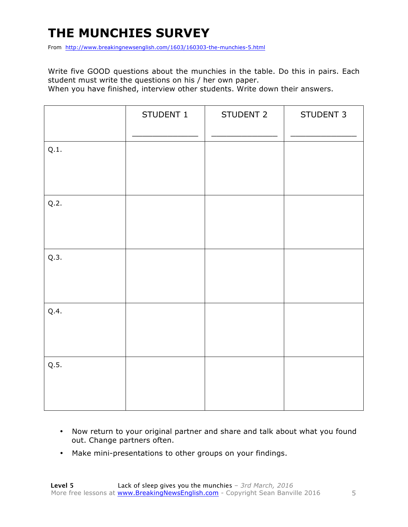# **THE MUNCHIES SURVEY**

From http://www.breakingnewsenglish.com/1603/160303-the-munchies-5.html

Write five GOOD questions about the munchies in the table. Do this in pairs. Each student must write the questions on his / her own paper.

When you have finished, interview other students. Write down their answers.

|      | STUDENT 1 | STUDENT 2 | STUDENT 3 |
|------|-----------|-----------|-----------|
| Q.1. |           |           |           |
| Q.2. |           |           |           |
| Q.3. |           |           |           |
| Q.4. |           |           |           |
| Q.5. |           |           |           |

- Now return to your original partner and share and talk about what you found out. Change partners often.
- Make mini-presentations to other groups on your findings.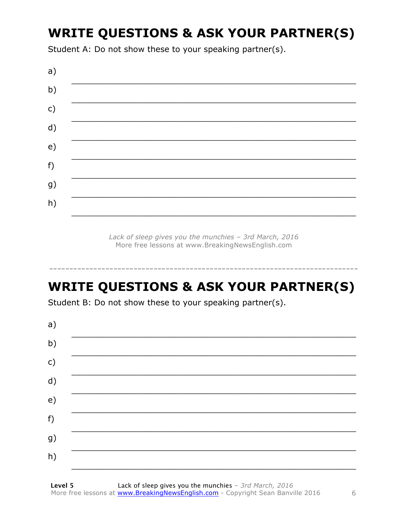# **WRITE QUESTIONS & ASK YOUR PARTNER(S)**

Student A: Do not show these to your speaking partner(s).



Lack of sleep gives you the munchies - 3rd March, 2016 More free lessons at www.BreakingNewsEnglish.com

## **WRITE QUESTIONS & ASK YOUR PARTNER(S)**

Student B: Do not show these to your speaking partner(s).